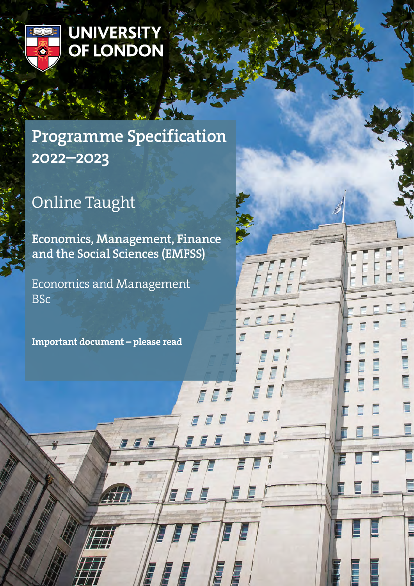

## **UNIVERSITY** OF LONDON

## Programme Specification 2022–2023

# Online Taught

Economics, Management, Finance and the Social Sciences (EMFSS)

7 F F

E

E

É

Economics and Management BSc

Important document – please read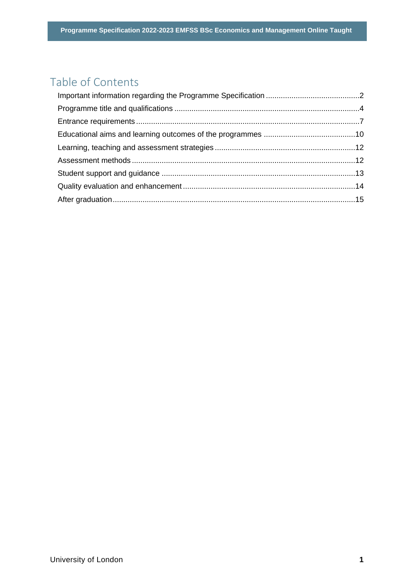## Table of Contents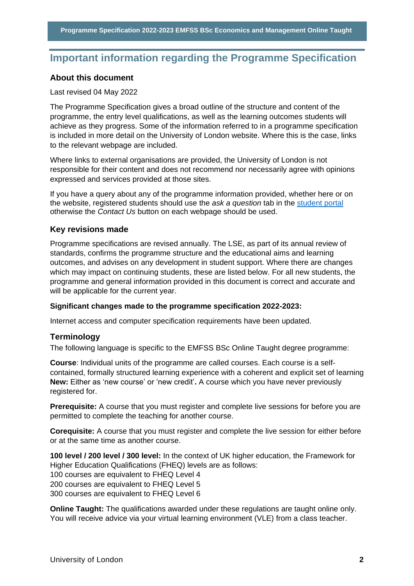## <span id="page-2-0"></span>**Important information regarding the Programme Specification**

#### **About this document**

#### Last revised 04 May 2022

The Programme Specification gives a broad outline of the structure and content of the programme, the entry level qualifications, as well as the learning outcomes students will achieve as they progress. Some of the information referred to in a programme specification is included in more detail on the University of London website. Where this is the case, links to the relevant webpage are included.

Where links to external organisations are provided, the University of London is not responsible for their content and does not recommend nor necessarily agree with opinions expressed and services provided at those sites.

If you have a query about any of the programme information provided, whether here or on the website, registered students should use the *ask a question* tab in the [student portal](https://my.london.ac.uk/) otherwise the *Contact Us* button on each webpage should be used.

#### **Key revisions made**

Programme specifications are revised annually. The LSE, as part of its annual review of standards, confirms the programme structure and the educational aims and learning outcomes, and advises on any development in student support. Where there are changes which may impact on continuing students, these are listed below. For all new students, the programme and general information provided in this document is correct and accurate and will be applicable for the current year.

#### **Significant changes made to the programme specification 2022-2023:**

Internet access and computer specification requirements have been updated.

#### **Terminology**

The following language is specific to the EMFSS BSc Online Taught degree programme:

**Course**: Individual units of the programme are called courses. Each course is a selfcontained, formally structured learning experience with a coherent and explicit set of learning **New:** Either as 'new course' or 'new credit'**.** A course which you have never previously registered for.

**Prerequisite:** A course that you must register and complete live sessions for before you are permitted to complete the teaching for another course.

**Corequisite:** A course that you must register and complete the live session for either before or at the same time as another course.

**100 level / 200 level / 300 level:** In the context of UK higher education, the Framework for Higher Education Qualifications (FHEQ) levels are as follows: 100 courses are equivalent to FHEQ Level 4 200 courses are equivalent to FHEQ Level 5 300 courses are equivalent to FHEQ Level 6

**Online Taught:** The qualifications awarded under these regulations are taught online only. You will receive advice via your virtual learning environment (VLE) from a class teacher.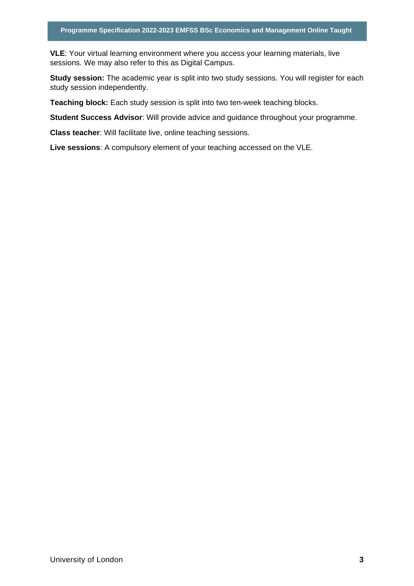**VLE**: Your virtual learning environment where you access your learning materials, live sessions. We may also refer to this as Digital Campus.

**Study session:** The academic year is split into two study sessions. You will register for each study session independently.

**Teaching block:** Each study session is split into two ten-week teaching blocks.

**Student Success Advisor**: Will provide advice and guidance throughout your programme.

**Class teacher**: Will facilitate live, online teaching sessions.

**Live sessions**: A compulsory element of your teaching accessed on the VLE.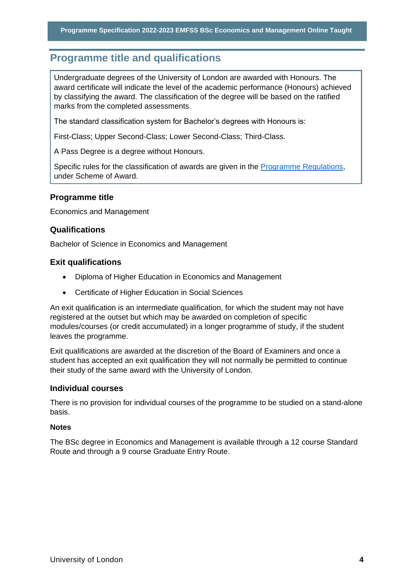## <span id="page-4-0"></span>**Programme title and qualifications**

Undergraduate degrees of the University of London are awarded with Honours. The award certificate will indicate the level of the academic performance (Honours) achieved by classifying the award. The classification of the degree will be based on the ratified marks from the completed assessments.

The standard classification system for Bachelor's degrees with Honours is:

First-Class; Upper Second-Class; Lower Second-Class; Third-Class.

A Pass Degree is a degree without Honours.

Specific rules for the classification of awards are given in the [Programme Regulations,](https://london.ac.uk/current-students/programme-documents/regulations) under Scheme of Award.

#### **Programme title**

Economics and Management

#### **Qualifications**

Bachelor of Science in Economics and Management

#### **Exit qualifications**

- Diploma of Higher Education in Economics and Management
- Certificate of Higher Education in Social Sciences

An exit qualification is an intermediate qualification, for which the student may not have registered at the outset but which may be awarded on completion of specific modules/courses (or credit accumulated) in a longer programme of study, if the student leaves the programme.

Exit qualifications are awarded at the discretion of the Board of Examiners and once a student has accepted an exit qualification they will not normally be permitted to continue their study of the same award with the University of London.

#### **Individual courses**

There is no provision for individual courses of the programme to be studied on a stand-alone basis.

#### **Notes**

The BSc degree in Economics and Management is available through a 12 course Standard Route and through a 9 course Graduate Entry Route.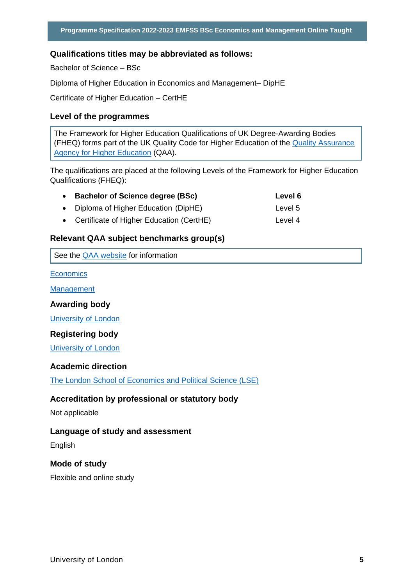#### **Qualifications titles may be abbreviated as follows:**

Bachelor of Science – BSc

Diploma of Higher Education in Economics and Management– DipHE

Certificate of Higher Education – CertHE

#### **Level of the programmes**

The Framework for Higher Education Qualifications of UK Degree-Awarding Bodies (FHEQ) forms part of the UK Quality Code for Higher Education of the [Quality Assurance](http://www.qaa.ac.uk/en)  [Agency for Higher Education](http://www.qaa.ac.uk/en) (QAA).

The qualifications are placed at the following Levels of the Framework for Higher Education Qualifications (FHEQ):

| <b>Bachelor of Science degree (BSc)</b>    | Level 6 |
|--------------------------------------------|---------|
| • Diploma of Higher Education (DipHE)      | Level 5 |
| • Certificate of Higher Education (CertHE) | Level 4 |

#### **Relevant QAA subject benchmarks group(s)**

See the [QAA website](http://www.qaa.ac.uk/) for information

**[Economics](https://www.qaa.ac.uk/docs/qaa/subject-benchmark-statements/subject-benchmark-statement-economics.pdf?sfvrsn=31e2cb81_5)** 

**[Management](https://www.qaa.ac.uk/docs/qaa/subject-benchmark-statements/subject-benchmark-statement-business-and-management.pdf?sfvrsn=db39c881_5)** 

#### **Awarding body**

[University of London](http://www.london.ac.uk/)

#### **Registering body**

[University of London](http://www.london.ac.uk/)

#### **Academic direction**

[The London School of Economics and Political Science \(LSE\)](http://www.lse.ac.uk/home.aspx) 

#### **Accreditation by professional or statutory body**

Not applicable

#### **Language of study and assessment**

English

#### **Mode of study**

Flexible and online study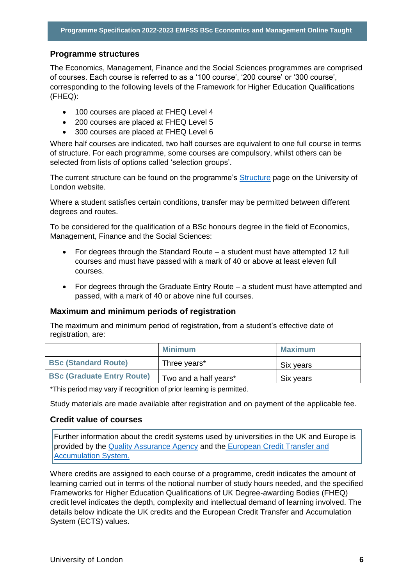#### **Programme structures**

The Economics, Management, Finance and the Social Sciences programmes are comprised of courses. Each course is referred to as a '100 course', '200 course' or '300 course', corresponding to the following levels of the Framework for Higher Education Qualifications (FHEQ):

- 100 courses are placed at FHEQ Level 4
- 200 courses are placed at FHEQ Level 5
- 300 courses are placed at FHEQ Level 6

Where half courses are indicated, two half courses are equivalent to one full course in terms of structure. For each programme, some courses are compulsory, whilst others can be selected from lists of options called 'selection groups'.

The current structure can be found on the programme's **Structure** page on the University of London website.

Where a student satisfies certain conditions, transfer may be permitted between different degrees and routes.

To be considered for the qualification of a BSc honours degree in the field of Economics, Management, Finance and the Social Sciences:

- For degrees through the Standard Route a student must have attempted 12 full courses and must have passed with a mark of 40 or above at least eleven full courses.
- For degrees through the Graduate Entry Route a student must have attempted and passed, with a mark of 40 or above nine full courses.

#### **Maximum and minimum periods of registration**

The maximum and minimum period of registration, from a student's effective date of registration, are:

|                                   | <b>Minimum</b>        | <b>Maximum</b> |
|-----------------------------------|-----------------------|----------------|
| <b>BSc (Standard Route)</b>       | Three years*          | Six years      |
| <b>BSc (Graduate Entry Route)</b> | Two and a half years* | Six years      |

\*This period may vary if recognition of prior learning is permitted.

Study materials are made available after registration and on payment of the applicable fee.

#### **Credit value of courses**

Further information about the credit systems used by universities in the UK and Europe is provided by the [Quality Assurance Agency](http://www.qaa.ac.uk/en) and the [European Credit Transfer and](http://ec.europa.eu/education/resources/european-credit-transfer-accumulation-system_en.htm)  [Accumulation System.](http://ec.europa.eu/education/resources/european-credit-transfer-accumulation-system_en.htm)

Where credits are assigned to each course of a programme, credit indicates the amount of learning carried out in terms of the notional number of study hours needed, and the specified Frameworks for Higher Education Qualifications of UK Degree-awarding Bodies (FHEQ) credit level indicates the depth, complexity and intellectual demand of learning involved. The details below indicate the UK credits and the European Credit Transfer and Accumulation System (ECTS) values.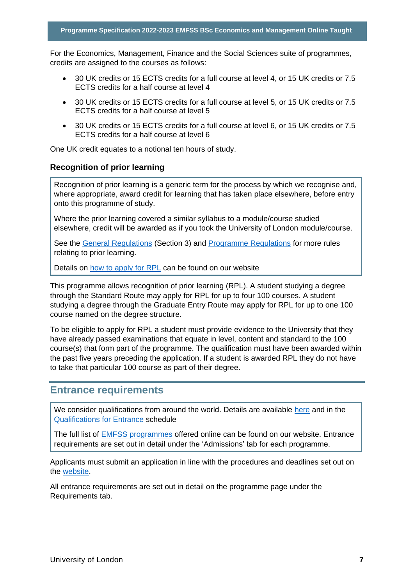For the Economics, Management, Finance and the Social Sciences suite of programmes, credits are assigned to the courses as follows:

- 30 UK credits or 15 ECTS credits for a full course at level 4, or 15 UK credits or 7.5 ECTS credits for a half course at level 4
- 30 UK credits or 15 ECTS credits for a full course at level 5, or 15 UK credits or 7.5 ECTS credits for a half course at level 5
- 30 UK credits or 15 ECTS credits for a full course at level 6, or 15 UK credits or 7.5 ECTS credits for a half course at level 6

One UK credit equates to a notional ten hours of study.

#### **Recognition of prior learning**

Recognition of prior learning is a generic term for the process by which we recognise and, where appropriate, award credit for learning that has taken place elsewhere, before entry onto this programme of study.

Where the prior learning covered a similar syllabus to a module/course studied elsewhere, credit will be awarded as if you took the University of London module/course.

See the [General Regulations](https://london.ac.uk/current-students/programme-documents/regulations) (Section 3) and [Programme Regulations](https://london.ac.uk/current-studentsprogramme-documents/regulations) for more rules relating to prior learning.

Details on [how to apply for RPL](https://london.ac.uk/applications/how-apply/recognition-prior-learning/recognition-and-accreditation-prior-learning-0) can be found on our website

This programme allows recognition of prior learning (RPL). A student studying a degree through the Standard Route may apply for RPL for up to four 100 courses. A student studying a degree through the Graduate Entry Route may apply for RPL for up to one 100 course named on the degree structure.

To be eligible to apply for RPL a student must provide evidence to the University that they have already passed examinations that equate in level, content and standard to the 100 course(s) that form part of the programme. The qualification must have been awarded within the past five years preceding the application. If a student is awarded RPL they do not have to take that particular 100 course as part of their degree.

### <span id="page-7-0"></span>**Entrance requirements**

We consider qualifications from around the world. Details are available [here](https://london.ac.uk/applications/how-apply/am-i-qualified) and in the [Qualifications for Entrance](https://london.ac.uk/entrance-qualifications) schedule

The full list of [EMFSS programmes](https://onlinecourses.london.ac.uk/) offered online can be found on our website. Entrance requirements are set out in detail under the 'Admissions' tab for each programme.

Applicants must submit an application in line with the procedures and deadlines set out on the [website.](https://onlinecourses.london.ac.uk/admissions/)

All entrance requirements are set out in detail on the programme page under the Requirements tab.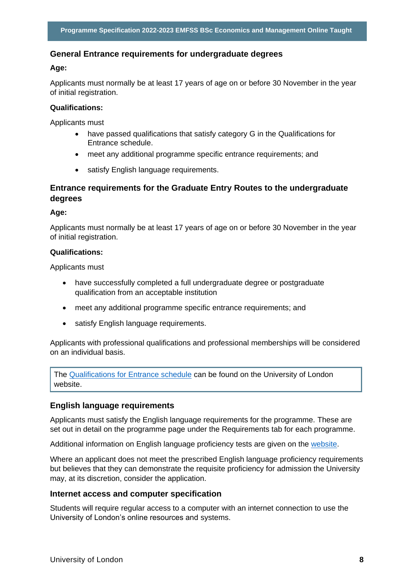#### **General Entrance requirements for undergraduate degrees**

#### **Age:**

Applicants must normally be at least 17 years of age on or before 30 November in the year of initial registration.

#### **Qualifications:**

Applicants must

- have passed qualifications that satisfy category G in the Qualifications for Entrance schedule.
- meet any additional programme specific entrance requirements; and
- satisfy English language requirements.

#### **Entrance requirements for the Graduate Entry Routes to the undergraduate degrees**

#### **Age:**

Applicants must normally be at least 17 years of age on or before 30 November in the year of initial registration.

#### **Qualifications:**

Applicants must

- have successfully completed a full undergraduate degree or postgraduate qualification from an acceptable institution
- meet any additional programme specific entrance requirements; and
- satisfy English language requirements.

Applicants with professional qualifications and professional memberships will be considered on an individual basis.

The [Qualifications for Entrance schedule](https://london.ac.uk/entrance-qualifications) can be found on the University of London website.

#### **English language requirements**

Applicants must satisfy the English language requirements for the programme. These are set out in detail on the programme page under the Requirements tab for each programme.

Additional information on English language proficiency tests are given on the [website.](https://london.ac.uk/applications/how-apply/english-requirements)

Where an applicant does not meet the prescribed English language proficiency requirements but believes that they can demonstrate the requisite proficiency for admission the University may, at its discretion, consider the application.

#### **Internet access and computer specification**

Students will require regular access to a computer with an internet connection to use the University of London's online resources and systems.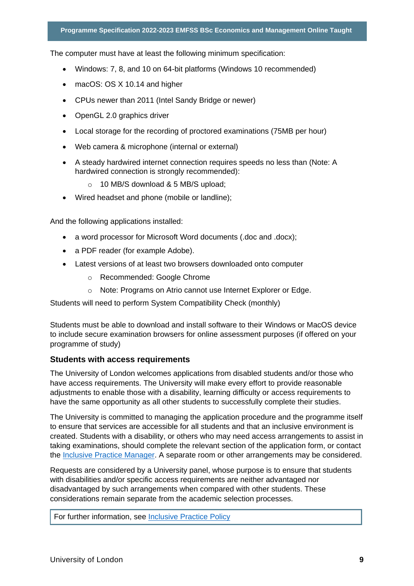The computer must have at least the following minimum specification:

- Windows: 7, 8, and 10 on 64-bit platforms (Windows 10 recommended)
- macOS: OS X 10.14 and higher
- CPUs newer than 2011 (Intel Sandy Bridge or newer)
- OpenGL 2.0 graphics driver
- Local storage for the recording of proctored examinations (75MB per hour)
- Web camera & microphone (internal or external)
- A steady hardwired internet connection requires speeds no less than (Note: A hardwired connection is strongly recommended):
	- o 10 MB/S download & 5 MB/S upload;
- Wired headset and phone (mobile or landline);

And the following applications installed:

- a word processor for Microsoft Word documents (.doc and .docx);
- a PDF reader (for example Adobe).
- Latest versions of at least two browsers downloaded onto computer
	- o Recommended: Google Chrome
	- o Note: Programs on Atrio cannot use Internet Explorer or Edge.

Students will need to perform System Compatibility Check (monthly)

Students must be able to download and install software to their Windows or MacOS device to include secure examination browsers for online assessment purposes (if offered on your programme of study)

#### **Students with access requirements**

The University of London welcomes applications from disabled students and/or those who have access requirements. The University will make every effort to provide reasonable adjustments to enable those with a disability, learning difficulty or access requirements to have the same opportunity as all other students to successfully complete their studies.

The University is committed to managing the application procedure and the programme itself to ensure that services are accessible for all students and that an inclusive environment is created. Students with a disability, or others who may need access arrangements to assist in taking examinations, should complete the relevant section of the application form, or contact the [Inclusive Practice Manager.](mailto:special.arrangements@london.ac.uk) A separate room or other arrangements may be considered.

Requests are considered by a University panel, whose purpose is to ensure that students with disabilities and/or specific access requirements are neither advantaged nor disadvantaged by such arrangements when compared with other students. These considerations remain separate from the academic selection processes.

For further information, see [Inclusive Practice Policy](https://london.ac.uk/applications/how-it-works/inclusive-practice-special-arrangements)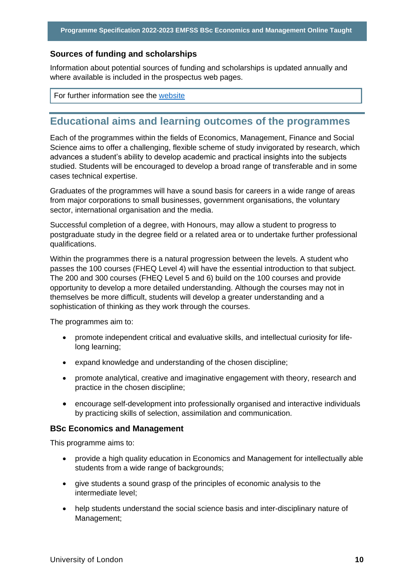#### **Sources of funding and scholarships**

Information about potential sources of funding and scholarships is updated annually and where available is included in the prospectus web pages.

For further information see the [website](https://london.ac.uk/applications/funding-your-study)

## <span id="page-10-0"></span>**Educational aims and learning outcomes of the programmes**

Each of the programmes within the fields of Economics, Management, Finance and Social Science aims to offer a challenging, flexible scheme of study invigorated by research, which advances a student's ability to develop academic and practical insights into the subjects studied. Students will be encouraged to develop a broad range of transferable and in some cases technical expertise.

Graduates of the programmes will have a sound basis for careers in a wide range of areas from major corporations to small businesses, government organisations, the voluntary sector, international organisation and the media.

Successful completion of a degree, with Honours, may allow a student to progress to postgraduate study in the degree field or a related area or to undertake further professional qualifications.

Within the programmes there is a natural progression between the levels. A student who passes the 100 courses (FHEQ Level 4) will have the essential introduction to that subject. The 200 and 300 courses (FHEQ Level 5 and 6) build on the 100 courses and provide opportunity to develop a more detailed understanding. Although the courses may not in themselves be more difficult, students will develop a greater understanding and a sophistication of thinking as they work through the courses.

The programmes aim to:

- promote independent critical and evaluative skills, and intellectual curiosity for lifelong learning;
- expand knowledge and understanding of the chosen discipline;
- promote analytical, creative and imaginative engagement with theory, research and practice in the chosen discipline;
- encourage self-development into professionally organised and interactive individuals by practicing skills of selection, assimilation and communication.

#### **BSc Economics and Management**

This programme aims to:

- provide a high quality education in Economics and Management for intellectually able students from a wide range of backgrounds;
- give students a sound grasp of the principles of economic analysis to the intermediate level;
- help students understand the social science basis and inter-disciplinary nature of Management;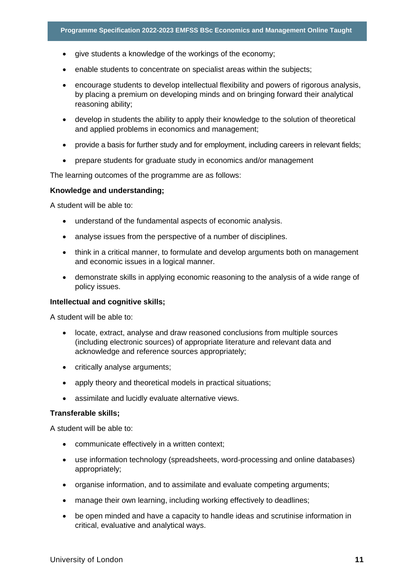- give students a knowledge of the workings of the economy;
- enable students to concentrate on specialist areas within the subjects;
- encourage students to develop intellectual flexibility and powers of rigorous analysis, by placing a premium on developing minds and on bringing forward their analytical reasoning ability;
- develop in students the ability to apply their knowledge to the solution of theoretical and applied problems in economics and management;
- provide a basis for further study and for employment, including careers in relevant fields:
- prepare students for graduate study in economics and/or management

The learning outcomes of the programme are as follows:

#### **Knowledge and understanding;**

A student will be able to:

- understand of the fundamental aspects of economic analysis.
- analyse issues from the perspective of a number of disciplines.
- think in a critical manner, to formulate and develop arguments both on management and economic issues in a logical manner.
- demonstrate skills in applying economic reasoning to the analysis of a wide range of policy issues.

#### **Intellectual and cognitive skills;**

A student will be able to:

- locate, extract, analyse and draw reasoned conclusions from multiple sources (including electronic sources) of appropriate literature and relevant data and acknowledge and reference sources appropriately;
- critically analyse arguments;
- apply theory and theoretical models in practical situations;
- assimilate and lucidly evaluate alternative views.

#### **Transferable skills;**

A student will be able to:

- communicate effectively in a written context;
- use information technology (spreadsheets, word-processing and online databases) appropriately;
- organise information, and to assimilate and evaluate competing arguments;
- manage their own learning, including working effectively to deadlines;
- be open minded and have a capacity to handle ideas and scrutinise information in critical, evaluative and analytical ways.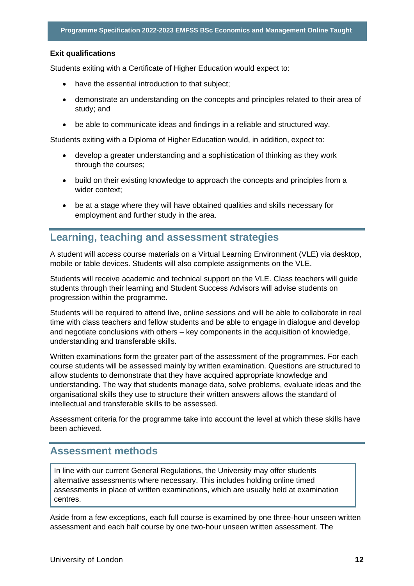#### **Exit qualifications**

Students exiting with a Certificate of Higher Education would expect to:

- have the essential introduction to that subject;
- demonstrate an understanding on the concepts and principles related to their area of study; and
- be able to communicate ideas and findings in a reliable and structured way.

Students exiting with a Diploma of Higher Education would, in addition, expect to:

- develop a greater understanding and a sophistication of thinking as they work through the courses;
- build on their existing knowledge to approach the concepts and principles from a wider context;
- be at a stage where they will have obtained qualities and skills necessary for employment and further study in the area.

### <span id="page-12-0"></span>**Learning, teaching and assessment strategies**

A student will access course materials on a Virtual Learning Environment (VLE) via desktop, mobile or table devices. Students will also complete assignments on the VLE.

Students will receive academic and technical support on the VLE. Class teachers will guide students through their learning and Student Success Advisors will advise students on progression within the programme.

Students will be required to attend live, online sessions and will be able to collaborate in real time with class teachers and fellow students and be able to engage in dialogue and develop and negotiate conclusions with others – key components in the acquisition of knowledge, understanding and transferable skills.

Written examinations form the greater part of the assessment of the programmes. For each course students will be assessed mainly by written examination. Questions are structured to allow students to demonstrate that they have acquired appropriate knowledge and understanding. The way that students manage data, solve problems, evaluate ideas and the organisational skills they use to structure their written answers allows the standard of intellectual and transferable skills to be assessed.

Assessment criteria for the programme take into account the level at which these skills have been achieved.

### <span id="page-12-1"></span>**Assessment methods**

In line with our current General Regulations, the University may offer students alternative assessments where necessary. This includes holding online timed assessments in place of written examinations, which are usually held at examination centres.

Aside from a few exceptions, each full course is examined by one three-hour unseen written assessment and each half course by one two-hour unseen written assessment. The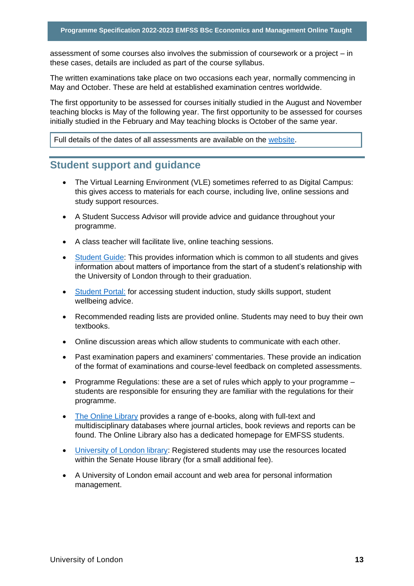assessment of some courses also involves the submission of coursework or a project – in these cases, details are included as part of the course syllabus.

The written examinations take place on two occasions each year, normally commencing in May and October. These are held at established examination centres worldwide.

The first opportunity to be assessed for courses initially studied in the August and November teaching blocks is May of the following year. The first opportunity to be assessed for courses initially studied in the February and May teaching blocks is October of the same year.

Full details of the dates of all assessments are available on the website.

## <span id="page-13-0"></span>**Student support and guidance**

- The Virtual Learning Environment (VLE) sometimes referred to as Digital Campus: this gives access to materials for each course, including live, online sessions and study support resources.
- A Student Success Advisor will provide advice and guidance throughout your programme.
- A class teacher will facilitate live, online teaching sessions.
- Student Guide: This provides information which is common to all students and gives information about matters of importance from the start of a student's relationship with the University of London through to their graduation.
- Student Portal: for accessing student induction, study skills support, student wellbeing advice.
- Recommended reading lists are provided online. Students may need to buy their own textbooks.
- Online discussion areas which allow students to communicate with each other.
- Past examination papers and examiners' commentaries. These provide an indication of the format of examinations and course-level feedback on completed assessments.
- Programme Regulations: these are a set of rules which apply to your programme students are responsible for ensuring they are familiar with the regulations for their programme.
- The Online Library provides a range of e-books, along with full-text and multidisciplinary databases where journal articles, book reviews and reports can be found. The Online Library also has a dedicated homepage for EMFSS students.
- University of London library: Registered students may use the resources located within the Senate House library (for a small additional fee).
- A University of London email account and web area for personal information management.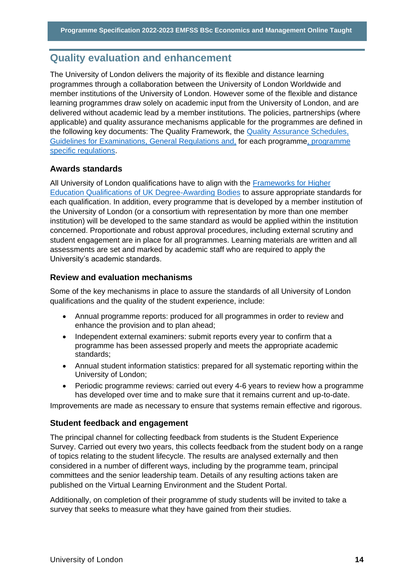## <span id="page-14-0"></span>**Quality evaluation and enhancement**

The University of London delivers the majority of its flexible and distance learning programmes through a collaboration between the University of London Worldwide and member institutions of the University of London. However some of the flexible and distance learning programmes draw solely on academic input from the University of London, and are delivered without academic lead by a member institutions. The policies, partnerships (where applicable) and quality assurance mechanisms applicable for the programmes are defined in the following key documents: The Quality Framework, the Quality Assurance Schedules, Guidelines for Examinations, General Regulations and, for each programme, programme specific regulations.

#### **Awards standards**

All University of London qualifications have to align with the Frameworks for Higher Education Qualifications of UK Degree-Awarding Bodies to assure appropriate standards for each qualification. In addition, every programme that is developed by a member institution of the University of London (or a consortium with representation by more than one member institution) will be developed to the same standard as would be applied within the institution concerned. Proportionate and robust approval procedures, including external scrutiny and student engagement are in place for all programmes. Learning materials are written and all assessments are set and marked by academic staff who are required to apply the University's academic standards.

#### **Review and evaluation mechanisms**

Some of the key mechanisms in place to assure the standards of all University of London qualifications and the quality of the student experience, include:

- Annual programme reports: produced for all programmes in order to review and enhance the provision and to plan ahead;
- Independent external examiners: submit reports every year to confirm that a programme has been assessed properly and meets the appropriate academic standards;
- Annual student information statistics: prepared for all systematic reporting within the University of London;
- Periodic programme reviews: carried out every 4-6 years to review how a programme has developed over time and to make sure that it remains current and up-to-date.

Improvements are made as necessary to ensure that systems remain effective and rigorous.

#### **Student feedback and engagement**

The principal channel for collecting feedback from students is the Student Experience Survey. Carried out every two years, this collects feedback from the student body on a range of topics relating to the student lifecycle. The results are analysed externally and then considered in a number of different ways, including by the programme team, principal committees and the senior leadership team. Details of any resulting actions taken are published on the Virtual Learning Environment and the Student Portal.

Additionally, on completion of their programme of study students will be invited to take a survey that seeks to measure what they have gained from their studies.